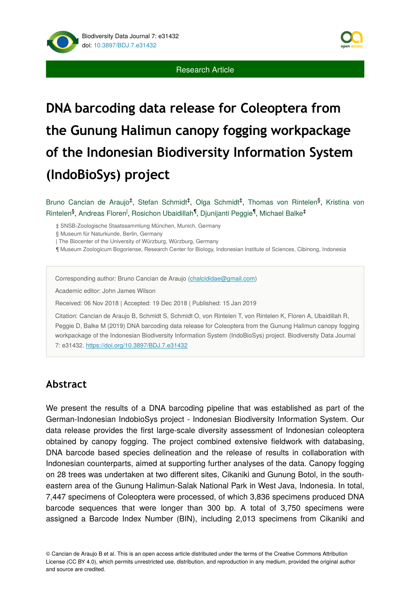

# **DNA barcoding data release for Coleoptera from the Gunung Halimun canopy fogging workpackage of the Indonesian Biodiversity Information System (IndoBioSys) project**

Bruno Cancian de Araujo<sup>‡</sup>, Stefan Schmidt<sup>‡</sup>, Olga Schmidt<sup>‡</sup>, Thomas von Rintelen<sup>§</sup>, Kristina von Rintelen<sup>§</sup>, Andreas Floren<sup>l</sup>, Rosichon Ubaidillah<sup>¶</sup>, Djunijanti Peggie<sup>¶</sup>, Michael Balke<sup>‡</sup>

‡ SNSB-Zoologische Staatssammlung München, Munich, Germany

§ Museum für Naturkunde, Berlin, Germany

| The Biocenter of the University of Würzburg, Würzburg, Germany

¶ Museum Zoologicum Bogoriense, Research Center for Biology, Indonesian Institute of Sciences, Cibinong, Indonesia

Corresponding author: Bruno Cancian de Araujo ([chalcididae@gmail.com\)](mailto:chalcididae@gmail.com)

Academic editor: John James Wilson

Received: 06 Nov 2018 | Accepted: 19 Dec 2018 | Published: 15 Jan 2019

Citation: Cancian de Araujo B, Schmidt S, Schmidt O, von Rintelen T, von Rintelen K, Floren A, Ubaidillah R, Peggie D, Balke M (2019) DNA barcoding data release for Coleoptera from the Gunung Halimun canopy fogging workpackage of the Indonesian Biodiversity Information System (IndoBioSys) project. Biodiversity Data Journal 7: e31432. <https://doi.org/10.3897/BDJ.7.e31432>

## **Abstract**

We present the results of a DNA barcoding pipeline that was established as part of the German-Indonesian IndobioSys project - Indonesian Biodiversity Information System. Our data release provides the first large-scale diversity assessment of Indonesian coleoptera obtained by canopy fogging. The project combined extensive fieldwork with databasing, DNA barcode based species delineation and the release of results in collaboration with Indonesian counterparts, aimed at supporting further analyses of the data. Canopy fogging on 28 trees was undertaken at two different sites, Cikaniki and Gunung Botol, in the southeastern area of the Gunung Halimun-Salak National Park in West Java, Indonesia. In total, 7,447 specimens of Coleoptera were processed, of which 3,836 specimens produced DNA barcode sequences that were longer than 300 bp. A total of 3,750 specimens were assigned a Barcode Index Number (BIN), including 2,013 specimens from Cikaniki and

© Cancian de Araujo B et al. This is an open access article distributed under the terms of the Creative Commons Attribution License (CC BY 4.0), which permits unrestricted use, distribution, and reproduction in any medium, provided the original author and source are credited.

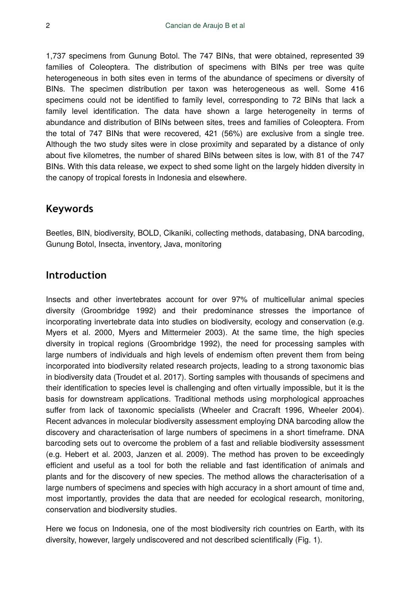1,737 specimens from Gunung Botol. The 747 BINs, that were obtained, represented 39 families of Coleoptera. The distribution of specimens with BINs per tree was quite heterogeneous in both sites even in terms of the abundance of specimens or diversity of BINs. The specimen distribution per taxon was heterogeneous as well. Some 416 specimens could not be identified to family level, corresponding to 72 BINs that lack a family level identification. The data have shown a large heterogeneity in terms of abundance and distribution of BINs between sites, trees and families of Coleoptera. From the total of 747 BINs that were recovered, 421 (56%) are exclusive from a single tree. Although the two study sites were in close proximity and separated by a distance of only about five kilometres, the number of shared BINs between sites is low, with 81 of the 747 BINs. With this data release, we expect to shed some light on the largely hidden diversity in the canopy of tropical forests in Indonesia and elsewhere.

## **Keywords**

Beetles, BIN, biodiversity, BOLD, Cikaniki, collecting methods, databasing, DNA barcoding, Gunung Botol, Insecta, inventory, Java, monitoring

## **Introduction**

Insects and other invertebrates account for over 97% of multicellular animal species diversity (Groombridge 1992) and their predominance stresses the importance of incorporating invertebrate data into studies on biodiversity, ecology and conservation (e.g. Myers et al. 2000, Myers and Mittermeier 2003). At the same time, the high species diversity in tropical regions (Groombridge 1992), the need for processing samples with large numbers of individuals and high levels of endemism often prevent them from being incorporated into biodiversity related research projects, leading to a strong taxonomic bias in biodiversity data (Troudet et al. 2017). Sorting samples with thousands of specimens and their identification to species level is challenging and often virtually impossible, but it is the basis for downstream applications. Traditional methods using morphological approaches suffer from lack of taxonomic specialists (Wheeler and Cracraft 1996, Wheeler 2004). Recent advances in molecular biodiversity assessment employing DNA barcoding allow the discovery and characterisation of large numbers of specimens in a short timeframe. DNA barcoding sets out to overcome the problem of a fast and reliable biodiversity assessment (e.g. Hebert et al. 2003, Janzen et al. 2009). The method has proven to be exceedingly efficient and useful as a tool for both the reliable and fast identification of animals and plants and for the discovery of new species. The method allows the characterisation of a large numbers of specimens and species with high accuracy in a short amount of time and, most importantly, provides the data that are needed for ecological research, monitoring, conservation and biodiversity studies.

Here we focus on Indonesia, one of the most biodiversity rich countries on Earth, with its diversity, however, largely undiscovered and not described scientifically (Fig. 1).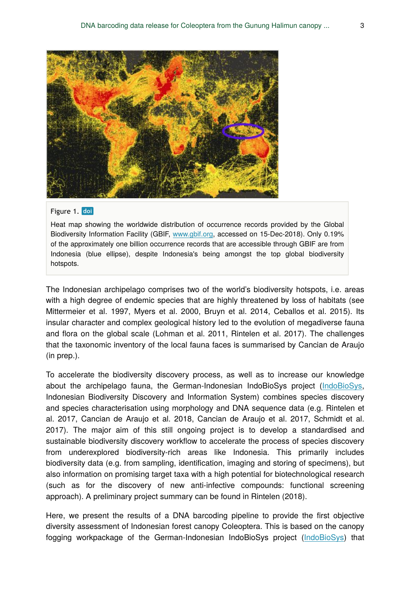

#### Figure 1. doi

Heat map showing the worldwide distribution of occurrence records provided by the Global Biodiversity Information Facility (GBIF, [www.gbif.org,](https://www.gbif.org/) accessed on 15-Dec-2018). Only 0.19% of the approximately one billion occurrence records that are accessible through GBIF are from Indonesia (blue ellipse), despite Indonesia's being amongst the top global biodiversity hotspots.

The Indonesian archipelago comprises two of the world's biodiversity hotspots, i.e. areas with a high degree of endemic species that are highly threatened by loss of habitats (see Mittermeier et al. 1997, Myers et al. 2000, Bruyn et al. 2014, Ceballos et al. 2015). Its insular character and complex geological history led to the evolution of megadiverse fauna and flora on the global scale (Lohman et al. 2011, Rintelen et al. 2017). The challenges that the taxonomic inventory of the local fauna faces is summarised by Cancian de Araujo (in prep.).

To accelerate the biodiversity discovery process, as well as to increase our knowledge about the archipelago fauna, the German-Indonesian IndoBioSys project [\(IndoBioSys,](http://indobiosys.org/) Indonesian Biodiversity Discovery and Information System) combines species discovery and species characterisation using morphology and DNA sequence data (e.g. Rintelen et al. 2017, Cancian de Araujo et al. 2018, Cancian de Araujo et al. 2017, Schmidt et al. 2017). The major aim of this still ongoing project is to develop a standardised and sustainable biodiversity discovery workflow to accelerate the process of species discovery from underexplored biodiversity-rich areas like Indonesia. This primarily includes biodiversity data (e.g. from sampling, identification, imaging and storing of specimens), but also information on promising target taxa with a high potential for biotechnological research (such as for the discovery of new anti-infective compounds: functional screening approach). A preliminary project summary can be found in Rintelen (2018).

Here, we present the results of a DNA barcoding pipeline to provide the first objective diversity assessment of Indonesian forest canopy Coleoptera. This is based on the canopy fogging workpackage of the German-Indonesian IndoBioSys project ([IndoBioSys](http://indobiosys.org/)) that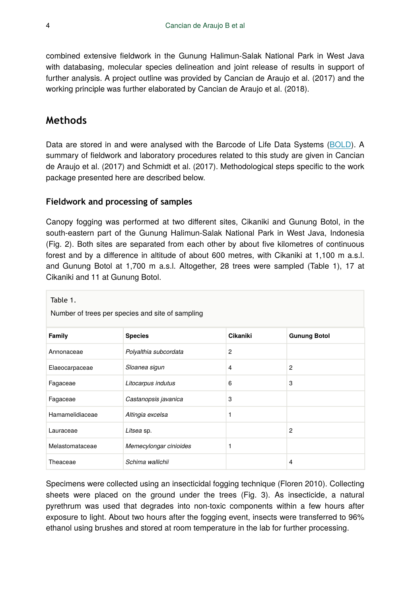combined extensive fieldwork in the Gunung Halimun-Salak National Park in West Java with databasing, molecular species delineation and joint release of results in support of further analysis. A project outline was provided by Cancian de Araujo et al. (2017) and the working principle was further elaborated by Cancian de Araujo et al. (2018).

## **Methods**

Data are stored in and were analysed with the Barcode of Life Data Systems ([BOLD](http://www.boldsystems.org/)). A summary of fieldwork and laboratory procedures related to this study are given in Cancian de Araujo et al. (2017) and Schmidt et al. (2017). Methodological steps specific to the work package presented here are described below.

#### **Fieldwork and processing of samples**

Canopy fogging was performed at two different sites, Cikaniki and Gunung Botol, in the south-eastern part of the Gunung Halimun-Salak National Park in West Java, Indonesia (Fig. 2). Both sites are separated from each other by about five kilometres of continuous forest and by a difference in altitude of about 600 metres, with Cikaniki at 1,100 m a.s.l. and Gunung Botol at 1,700 m a.s.l. Altogether, 28 trees were sampled (Table 1), 17 at Cikaniki and 11 at Gunung Botol.

| Table 1.<br>Number of trees per species and site of sampling |                        |                |                     |
|--------------------------------------------------------------|------------------------|----------------|---------------------|
| Family                                                       | <b>Species</b>         | Cikaniki       | <b>Gunung Botol</b> |
| Annonaceae                                                   | Polyalthia subcordata  | $\overline{2}$ |                     |
| Elaeocarpaceae                                               | Sloanea sigun          | 4              | 2                   |
| Fagaceae                                                     | Litocarpus indutus     | 6              | 3                   |
| Fagaceae                                                     | Castanopsis javanica   | 3              |                     |
| Hamamelidiaceae                                              | Altingia excelsa       | 1              |                     |
| Lauraceae                                                    | Litsea sp.             |                | 2                   |
| Melastomataceae                                              | Memecylongar cinioides |                |                     |
| Theaceae                                                     | Schima wallichii       |                | 4                   |

Specimens were collected using an insecticidal fogging technique (Floren 2010). Collecting sheets were placed on the ground under the trees (Fig. 3). As insecticide, a natural pyrethrum was used that degrades into non-toxic components within a few hours after exposure to light. About two hours after the fogging event, insects were transferred to 96% ethanol using brushes and stored at room temperature in the lab for further processing.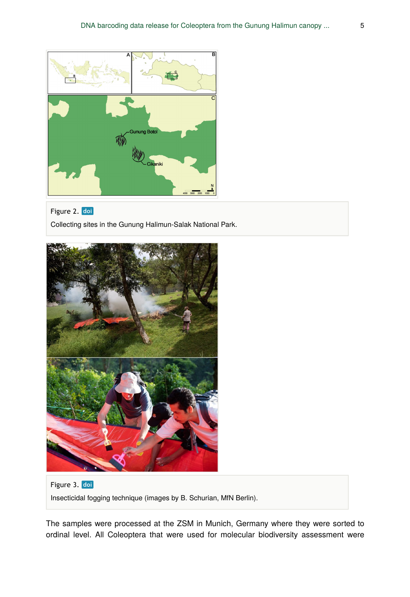

#### Figure 2. doi

Collecting sites in the Gunung Halimun-Salak National Park.



Figure 3. doi Insecticidal fogging technique (images by B. Schurian, MfN Berlin).

The samples were processed at the ZSM in Munich, Germany where they were sorted to ordinal level. All Coleoptera that were used for molecular biodiversity assessment were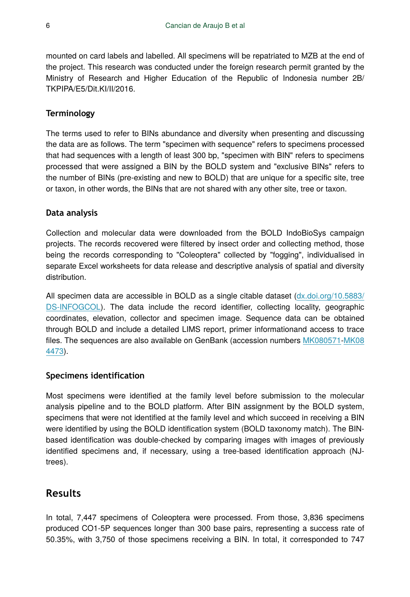mounted on card labels and labelled. All specimens will be repatriated to MZB at the end of the project. This research was conducted under the foreign research permit granted by the Ministry of Research and Higher Education of the Republic of Indonesia number 2B/ TKPIPA/E5/Dit.KI/II/2016.

#### **Terminology**

The terms used to refer to BINs abundance and diversity when presenting and discussing the data are as follows. The term "specimen with sequence" refers to specimens processed that had sequences with a length of least 300 bp, "specimen with BIN" refers to specimens processed that were assigned a BIN by the BOLD system and "exclusive BINs" refers to the number of BINs (pre-existing and new to BOLD) that are unique for a specific site, tree or taxon, in other words, the BINs that are not shared with any other site, tree or taxon.

#### **Data analysis**

Collection and molecular data were downloaded from the BOLD IndoBioSys campaign projects. The records recovered were filtered by insect order and collecting method, those being the records corresponding to "Coleoptera" collected by "fogging", individualised in separate Excel worksheets for data release and descriptive analysis of spatial and diversity distribution.

All specimen data are accessible in BOLD as a single citable dataset  $(dx.doi.org/10.5883/$ [DS-INFOGCOL\)](http://dx.doi.org/10.5883/DS-INFOGCOL). The data include the record identifier, collecting locality, geographic coordinates, elevation, collector and specimen image. Sequence data can be obtained through BOLD and include a detailed LIMS report, primer informationand access to trace files. The sequences are also available on GenBank (accession numbers [MK080571-](http://www.ncbi.nlm.nih.gov/nuccore/MK080571)[MK08](http://www.ncbi.nlm.nih.gov/nuccore/MK084473) [4473](http://www.ncbi.nlm.nih.gov/nuccore/MK084473)).

#### **Specimens identification**

Most specimens were identified at the family level before submission to the molecular analysis pipeline and to the BOLD platform. After BIN assignment by the BOLD system, specimens that were not identified at the family level and which succeed in receiving a BIN were identified by using the BOLD identification system (BOLD taxonomy match). The BINbased identification was double-checked by comparing images with images of previously identified specimens and, if necessary, using a tree-based identification approach (NJtrees).

## **Results**

In total, 7,447 specimens of Coleoptera were processed. From those, 3,836 specimens produced CO1-5P sequences longer than 300 base pairs, representing a success rate of 50.35%, with 3,750 of those specimens receiving a BIN. In total, it corresponded to 747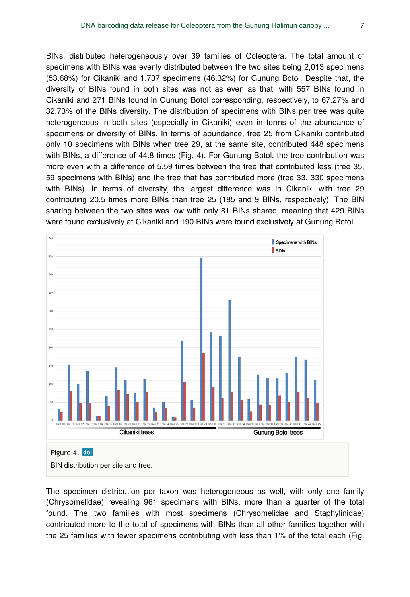BINs, distributed heterogeneously over 39 families of Coleoptera. The total amount of specimens with BINs was evenly distributed between the two sites being 2,013 specimens (53.68%) for Cikaniki and 1,737 specimens (46.32%) for Gunung Botol. Despite that, the diversity of BINs found in both sites was not as even as that, with 557 BINs found in Cikaniki and 271 BINs found in Gunung Botol corresponding, respectively, to 67.27% and 32.73% of the BINs diversity. The distribution of specimens with BINs per tree was quite heterogeneous in both sites (especially in Cikaniki) even in terms of the abundance of specimens or diversity of BINs. In terms of abundance, tree 25 from Cikaniki contributed only 10 specimens with BINs when tree 29, at the same site, contributed 448 specimens with BINs, a difference of 44.8 times (Fig. 4). For Gunung Botol, the tree contribution was more even with a difference of 5.59 times between the tree that contributed less (tree 35, 59 specimens with BINs) and the tree that has contributed more (tree 33, 330 specimens with BINs). In terms of diversity, the largest difference was in Cikaniki with tree 29 contributing 20.5 times more BINs than tree 25 (185 and 9 BINs, respectively). The BIN sharing between the two sites was low with only 81 BINs shared, meaning that 429 BINs were found exclusively at Cikaniki and 190 BINs were found exclusively at Gunung Botol.



BIN distribution per site and tree.

The specimen distribution per taxon was heterogeneous as well, with only one family (Chrysomelidae) revealing 961 specimens with BINs, more than a quarter of the total found. The two families with most specimens (Chrysomelidae and Staphylinidae) contributed more to the total of specimens with BINs than all other families together with the 25 families with fewer specimens contributing with less than 1% of the total each (Fig.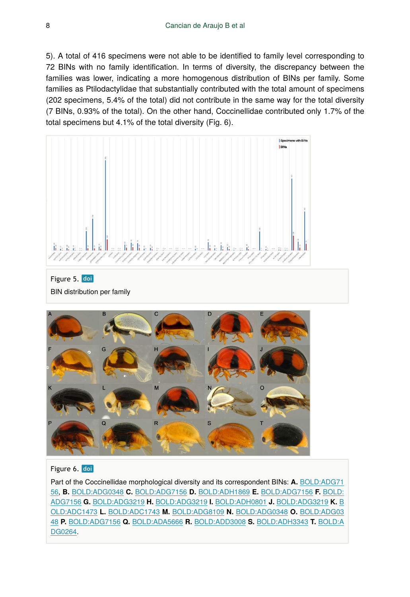#### 8 Cancian de Araujo B et al

5). A total of 416 specimens were not able to be identified to family level corresponding to 72 BINs with no family identification. In terms of diversity, the discrepancy between the families was lower, indicating a more homogenous distribution of BINs per family. Some families as Ptilodactylidae that substantially contributed with the total amount of specimens (202 specimens, 5.4% of the total) did not contribute in the same way for the total diversity (7 BINs, 0.93% of the total). On the other hand, Coccinellidae contributed only 1.7% of the total specimens but 4.1% of the total diversity (Fig. 6).







### Figure 6. doi

Part of the Coccinellidae morphological diversity and its correspondent BINs: **A.** [BOLD:ADG71](http://www.boldsystems.org/index.php/Public_BarcodeCluster?clusteruri=BOLD:ADG7156) [56,](http://www.boldsystems.org/index.php/Public_BarcodeCluster?clusteruri=BOLD:ADG7156) **B.** [BOLD:ADG0348](http://www.boldsystems.org/index.php/Public_BarcodeCluster?clusteruri=BOLD:ADG0348) **C.** [BOLD:ADG7156](http://www.boldsystems.org/index.php/Public_BarcodeCluster?clusteruri=BOLD:ADG7156) **D.** [BOLD:ADH1869](http://www.boldsystems.org/index.php/Public_BarcodeCluster?clusteruri=BOLD:ADH1869) **E.** [BOLD:ADG7156](http://www.boldsystems.org/index.php/Public_BarcodeCluster?clusteruri=BOLD:ADG7156) **F.** [BOLD:](http://www.boldsystems.org/index.php/Public_BarcodeCluster?clusteruri=BOLD:ADG7156) [ADG7156](http://www.boldsystems.org/index.php/Public_BarcodeCluster?clusteruri=BOLD:ADG7156) **G.** [BOLD:ADG3219](http://www.boldsystems.org/index.php/Public_BarcodeCluster?clusteruri=BOLD:ADG3219) **H.** [BOLD:ADG3219](http://www.boldsystems.org/index.php/Public_BarcodeCluster?clusteruri=BOLD:ADG3219) **I.** [BOLD:ADH0801](http://www.boldsystems.org/index.php/Public_BarcodeCluster?clusteruri=BOLD:ADH0801) **J.** [BOLD:ADG3219](http://www.boldsystems.org/index.php/Public_BarcodeCluster?clusteruri=BOLD:ADG3219) **K.** [B](http://www.boldsystems.org/index.php/Public_BarcodeCluster?clusteruri=BOLD:ADC1473) [OLD:ADC1473](http://www.boldsystems.org/index.php/Public_BarcodeCluster?clusteruri=BOLD:ADC1473) **L.** [BOLD:ADC1743](http://www.boldsystems.org/index.php/Public_BarcodeCluster?clusteruri=BOLD:ADC1743) **M.** [BOLD:ADG8109](http://www.boldsystems.org/index.php/Public_BarcodeCluster?clusteruri=BOLD:ADG8109) **N.** [BOLD:ADG0348](http://www.boldsystems.org/index.php/Public_BarcodeCluster?clusteruri=BOLD:ADG0348) **O.** [BOLD:ADG03](http://www.boldsystems.org/index.php/Public_BarcodeCluster?clusteruri=BOLD:ADG0348) [48](http://www.boldsystems.org/index.php/Public_BarcodeCluster?clusteruri=BOLD:ADG0348) **P.** [BOLD:ADG7156](http://www.boldsystems.org/index.php/Public_BarcodeCluster?clusteruri=BOLD:ADG7156) **Q.** [BOLD:ADA5666](http://www.boldsystems.org/index.php/Public_BarcodeCluster?clusteruri=BOLD:ADA5666) **R.** [BOLD:ADD3008](http://www.boldsystems.org/index.php/Public_BarcodeCluster?clusteruri=BOLD:ADD3008) **S.** [BOLD:ADH3343](http://www.boldsystems.org/index.php/Public_BarcodeCluster?clusteruri=BOLD:ADH3343) **T.** [BOLD:A](http://www.boldsystems.org/index.php/Public_BarcodeCluster?clusteruri=BOLD:ADG0264) [DG0264](http://www.boldsystems.org/index.php/Public_BarcodeCluster?clusteruri=BOLD:ADG0264).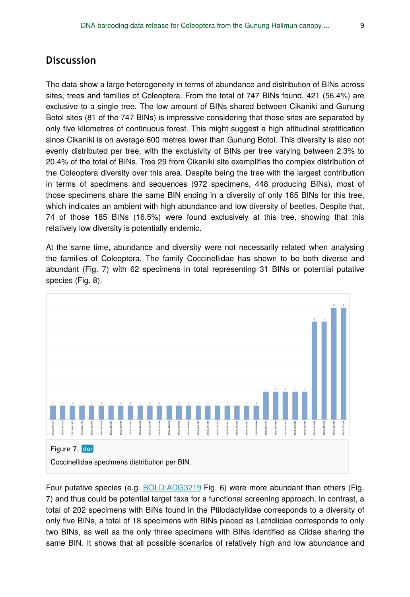## **Discussion**

The data show a large heterogeneity in terms of abundance and distribution of BINs across sites, trees and families of Coleoptera. From the total of 747 BINs found, 421 (56.4%) are exclusive to a single tree. The low amount of BINs shared between Cikaniki and Gunung Botol sites (81 of the 747 BINs) is impressive considering that those sites are separated by only five kilometres of continuous forest. This might suggest a high altitudinal stratification since Cikaniki is on average 600 metres lower than Gunung Botol. This diversity is also not evenly distributed per tree, with the exclusivity of BINs per tree varying between 2.3% to 20.4% of the total of BINs. Tree 29 from Cikaniki site exemplifies the complex distribution of the Coleoptera diversity over this area. Despite being the tree with the largest contribution in terms of specimens and sequences (972 specimens, 448 producing BINs), most of those specimens share the same BIN ending in a diversity of only 185 BINs for this tree, which indicates an ambient with high abundance and low diversity of beetles. Despite that, 74 of those 185 BINs (16.5%) were found exclusively at this tree, showing that this relatively low diversity is potentially endemic.

At the same time, abundance and diversity were not necessarily related when analysing the families of Coleoptera. The family Coccinellidae has shown to be both diverse and abundant (Fig. 7) with 62 specimens in total representing 31 BINs or potential putative species (Fig. 8).



Four putative species (e.g. [BOLD:ADG3219](http://www.boldsystems.org/index.php/Public_BarcodeCluster?clusteruri=BOLD:ADG3219) Fig. 6) were more abundant than others (Fig. 7) and thus could be potential target taxa for a functional screening approach. In contrast, a total of 202 specimens with BINs found in the Ptilodactylidae corresponds to a diversity of only five BINs, a total of 18 specimens with BINs placed as Latridiidae corresponds to only two BINs, as well as the only three specimens with BINs identified as Ciidae sharing the same BIN. It shows that all possible scenarios of relatively high and low abundance and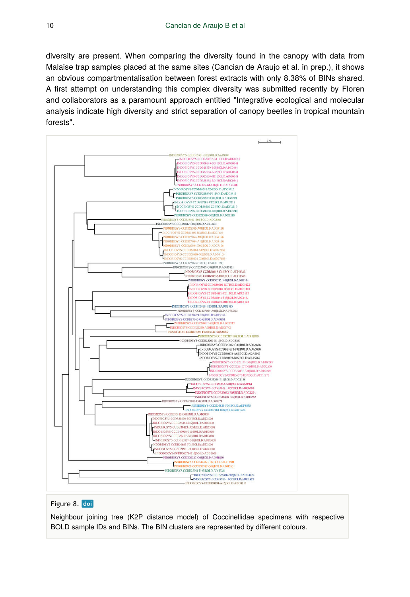diversity are present. When comparing the diversity found in the canopy with data from Malaise trap samples placed at the same sites (Cancian de Araujo et al. in prep.), it shows an obvious compartmentalisation between forest extracts with only 8.38% of BINs shared. A first attempt on understanding this complex diversity was submitted recently by Floren and collaborators as a paramount approach entitled "Integrative ecological and molecular analysis indicate high diversity and strict separation of canopy beetles in tropical mountain forests".



#### Figure 8. doi

Neighbour joining tree (K2P distance model) of Coccinellidae specimens with respective BOLD sample IDs and BINs. The BIN clusters are represented by different colours.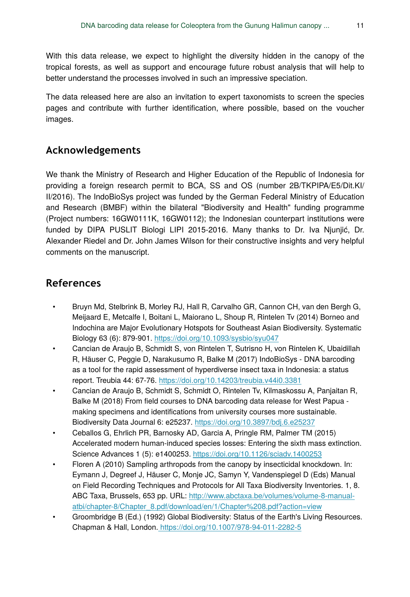With this data release, we expect to highlight the diversity hidden in the canopy of the tropical forests, as well as support and encourage future robust analysis that will help to better understand the processes involved in such an impressive speciation.

The data released here are also an invitation to expert taxonomists to screen the species pages and contribute with further identification, where possible, based on the voucher images.

## **Acknowledgements**

We thank the Ministry of Research and Higher Education of the Republic of Indonesia for providing a foreign research permit to BCA, SS and OS (number 2B/TKPIPA/E5/Dit.KI/ II/2016). The IndoBioSys project was funded by the German Federal Ministry of Education and Research (BMBF) within the bilateral "Biodiversity and Health" funding programme (Project numbers: 16GW0111K, 16GW0112); the Indonesian counterpart institutions were funded by DIPA PUSLIT Biologi LIPI 2015-2016. Many thanks to Dr. Iva Njunjić, Dr. Alexander Riedel and Dr. John James Wilson for their constructive insights and very helpful comments on the manuscript.

## **References**

- Bruyn Md, Stelbrink B, Morley RJ, Hall R, Carvalho GR, Cannon CH, van den Bergh G, Meijaard E, Metcalfe I, Boitani L, Maiorano L, Shoup R, Rintelen Tv (2014) Borneo and Indochina are Major Evolutionary Hotspots for Southeast Asian Biodiversity. Systematic Biology 63 (6): 879‑901.<https://doi.org/10.1093/sysbio/syu047>
- Cancian de Araujo B, Schmidt S, von Rintelen T, Sutrisno H, von Rintelen K, Ubaidillah R, Häuser C, Peggie D, Narakusumo R, Balke M (2017) IndoBioSys - DNA barcoding as a tool for the rapid assessment of hyperdiverse insect taxa in Indonesia: a status report. Treubia 44: 67‑76.<https://doi.org/10.14203/treubia.v44i0.3381>
- Cancian de Araujo B, Schmidt S, Schmidt O, Rintelen Tv, Kilmaskossu A, Panjaitan R, Balke M (2018) From field courses to DNA barcoding data release for West Papua making specimens and identifications from university courses more sustainable. Biodiversity Data Journal 6: e25237.<https://doi.org/10.3897/bdj.6.e25237>
- Ceballos G, Ehrlich PR, Barnosky AD, Garcia A, Pringle RM, Palmer TM (2015) Accelerated modern human-induced species losses: Entering the sixth mass extinction. Science Advances 1 (5): e1400253.<https://doi.org/10.1126/sciadv.1400253>
- Floren A (2010) Sampling arthropods from the canopy by insecticidal knockdown. In: Eymann J, Degreef J, Häuser C, Monje JC, Samyn Y, Vandenspiegel D (Eds) Manual on Field Recording Techniques and Protocols for All Taxa Biodiversity Inventories. 1, 8. ABC Taxa, Brussels, 653 pp. URL: [http://www.abctaxa.be/volumes/volume-8-manual](http://www.abctaxa.be/volumes/volume-8-manual-atbi/chapter-8/Chapter_8.pdf/download/en/1/Chapter%208.pdf?action=view)[atbi/chapter-8/Chapter\\_8.pdf/download/en/1/Chapter%208.pdf?action=view](http://www.abctaxa.be/volumes/volume-8-manual-atbi/chapter-8/Chapter_8.pdf/download/en/1/Chapter%208.pdf?action=view)
- Groombridge B (Ed.) (1992) Global Biodiversity: Status of the Earth's Living Resources. Chapman & Hall, London[. https://doi.org/10.1007/978-94-011-2282-5](https://doi.org/10.1007/978-94-011-2282-5)